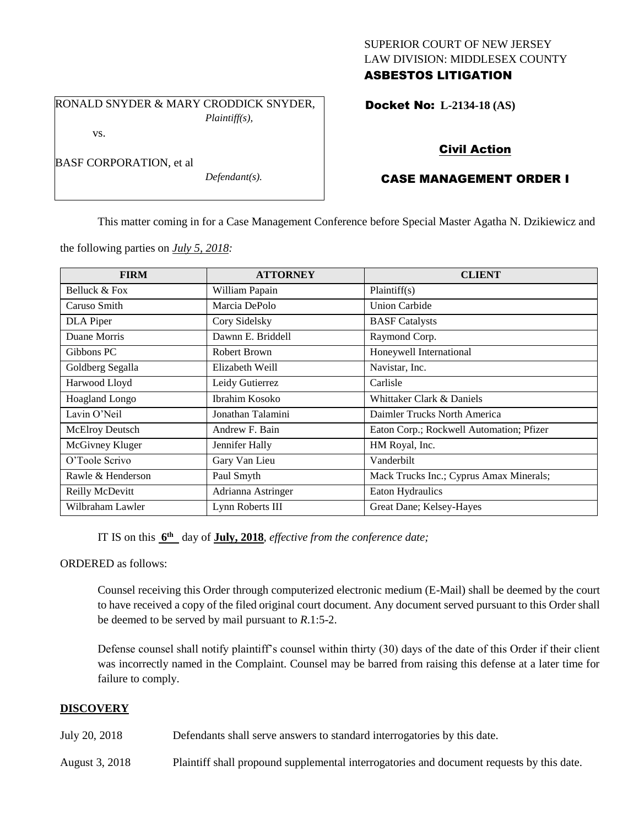## SUPERIOR COURT OF NEW JERSEY LAW DIVISION: MIDDLESEX COUNTY ASBESTOS LITIGATION

RONALD SNYDER & MARY CRODDICK SNYDER, *Plaintiff(s),* vs.

*Defendant(s).*

Docket No: **L-2134-18 (AS)** 

## Civil Action

# CASE MANAGEMENT ORDER I

This matter coming in for a Case Management Conference before Special Master Agatha N. Dzikiewicz and

the following parties on *July 5, 2018:*

BASF CORPORATION, et al

| <b>FIRM</b>       | <b>ATTORNEY</b>    | <b>CLIENT</b>                            |
|-------------------|--------------------|------------------------------------------|
| Belluck & Fox     | William Papain     | Plaintiff(s)                             |
| Caruso Smith      | Marcia DePolo      | <b>Union Carbide</b>                     |
| DLA Piper         | Cory Sidelsky      | <b>BASF</b> Catalysts                    |
| Duane Morris      | Dawnn E. Briddell  | Raymond Corp.                            |
| Gibbons PC        | Robert Brown       | Honeywell International                  |
| Goldberg Segalla  | Elizabeth Weill    | Navistar, Inc.                           |
| Harwood Lloyd     | Leidy Gutierrez    | Carlisle                                 |
| Hoagland Longo    | Ibrahim Kosoko     | Whittaker Clark & Daniels                |
| Lavin O'Neil      | Jonathan Talamini  | Daimler Trucks North America             |
| McElroy Deutsch   | Andrew F. Bain     | Eaton Corp.; Rockwell Automation; Pfizer |
| McGivney Kluger   | Jennifer Hally     | HM Royal, Inc.                           |
| O'Toole Scrivo    | Gary Van Lieu      | Vanderbilt                               |
| Rawle & Henderson | Paul Smyth         | Mack Trucks Inc.; Cyprus Amax Minerals;  |
| Reilly McDevitt   | Adrianna Astringer | Eaton Hydraulics                         |
| Wilbraham Lawler  | Lynn Roberts III   | Great Dane; Kelsey-Hayes                 |

IT IS on this  $6^{\text{th}}$  day of **July, 2018**, *effective from the conference date*;

ORDERED as follows:

Counsel receiving this Order through computerized electronic medium (E-Mail) shall be deemed by the court to have received a copy of the filed original court document. Any document served pursuant to this Order shall be deemed to be served by mail pursuant to *R*.1:5-2.

Defense counsel shall notify plaintiff's counsel within thirty (30) days of the date of this Order if their client was incorrectly named in the Complaint. Counsel may be barred from raising this defense at a later time for failure to comply.

#### **DISCOVERY**

July 20, 2018 Defendants shall serve answers to standard interrogatories by this date.

August 3, 2018 Plaintiff shall propound supplemental interrogatories and document requests by this date.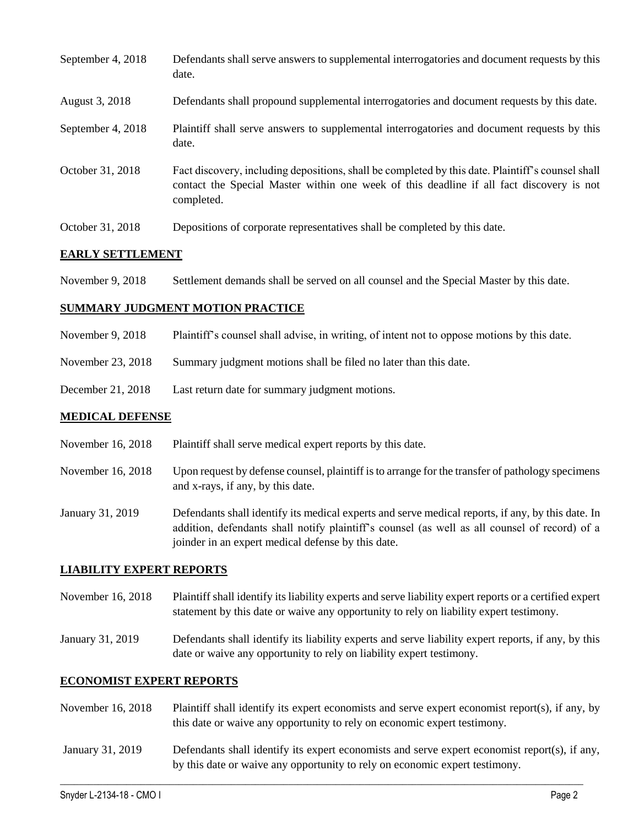| September 4, 2018 | Defendants shall serve answers to supplemental interrogatories and document requests by this<br>date.                                                                                                       |
|-------------------|-------------------------------------------------------------------------------------------------------------------------------------------------------------------------------------------------------------|
| August 3, 2018    | Defendants shall propound supplemental interrogatories and document requests by this date.                                                                                                                  |
| September 4, 2018 | Plaintiff shall serve answers to supplemental interrogatories and document requests by this<br>date.                                                                                                        |
| October 31, 2018  | Fact discovery, including depositions, shall be completed by this date. Plaintiff's counsel shall<br>contact the Special Master within one week of this deadline if all fact discovery is not<br>completed. |
| October 31, 2018  | Depositions of corporate representatives shall be completed by this date.                                                                                                                                   |

### **EARLY SETTLEMENT**

November 9, 2018 Settlement demands shall be served on all counsel and the Special Master by this date.

#### **SUMMARY JUDGMENT MOTION PRACTICE**

- November 9, 2018 Plaintiff's counsel shall advise, in writing, of intent not to oppose motions by this date.
- November 23, 2018 Summary judgment motions shall be filed no later than this date.
- December 21, 2018 Last return date for summary judgment motions.

#### **MEDICAL DEFENSE**

- November 16, 2018 Plaintiff shall serve medical expert reports by this date.
- November 16, 2018 Upon request by defense counsel, plaintiff is to arrange for the transfer of pathology specimens and x-rays, if any, by this date.
- January 31, 2019 Defendants shall identify its medical experts and serve medical reports, if any, by this date. In addition, defendants shall notify plaintiff's counsel (as well as all counsel of record) of a joinder in an expert medical defense by this date.

#### **LIABILITY EXPERT REPORTS**

- November 16, 2018 Plaintiff shall identify its liability experts and serve liability expert reports or a certified expert statement by this date or waive any opportunity to rely on liability expert testimony.
- January 31, 2019 Defendants shall identify its liability experts and serve liability expert reports, if any, by this date or waive any opportunity to rely on liability expert testimony.

#### **ECONOMIST EXPERT REPORTS**

- November 16, 2018 Plaintiff shall identify its expert economists and serve expert economist report(s), if any, by this date or waive any opportunity to rely on economic expert testimony.
- January 31, 2019 Defendants shall identify its expert economists and serve expert economist report(s), if any, by this date or waive any opportunity to rely on economic expert testimony.

 $\_$  ,  $\_$  ,  $\_$  ,  $\_$  ,  $\_$  ,  $\_$  ,  $\_$  ,  $\_$  ,  $\_$  ,  $\_$  ,  $\_$  ,  $\_$  ,  $\_$  ,  $\_$  ,  $\_$  ,  $\_$  ,  $\_$  ,  $\_$  ,  $\_$  ,  $\_$  ,  $\_$  ,  $\_$  ,  $\_$  ,  $\_$  ,  $\_$  ,  $\_$  ,  $\_$  ,  $\_$  ,  $\_$  ,  $\_$  ,  $\_$  ,  $\_$  ,  $\_$  ,  $\_$  ,  $\_$  ,  $\_$  ,  $\_$  ,